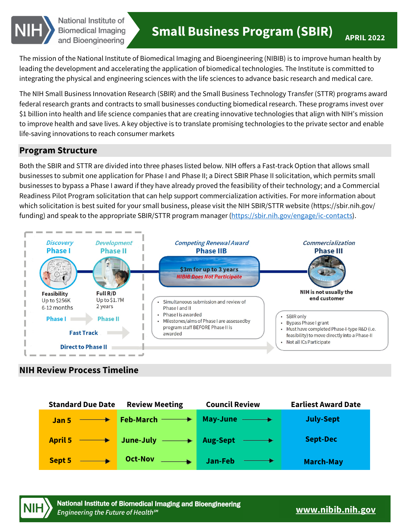

National Institute of Biomedical Imaging and Bioengineering

The mission of the National Institute of Biomedical Imaging and Bioengineering (NIBIB) is to improve human health by leading the development and accelerating the application of biomedical technologies. The Institute is committed to integrating the physical and engineering sciences with the life sciences to advance basic research and medical care.

The NIH Small Business Innovation Research (SBIR) and the Small Business Technology Transfer (STTR) programs award federal research grants and contracts to small businesses conducting biomedical research. These programs invest over \$1 billion into health and life science companies that are creating innovative technologies that align with NIH's mission to improve health and save lives. A key objective is to translate promising technologies to the private sector and enable life-saving innovations to reach consumer markets

## **Program Structure**

Both the SBIR and STTR are divided into three phases listed below. NIH offers a Fast-track Option that allows small businesses to submit one application for Phase I and Phase II; a Direct SBIR Phase II solicitation, which permits small businesses to bypass a Phase I award if they have already proved the feasibility of their technology; and a Commercial Readiness Pilot Program solicitation that can help support commercialization activities. For more information about which solicitation is best suited for your small business, please visit the NIH SBIR/STTR website ([https://sbir.nih.gov/](https://sbir.nih.gov) funding) and speak to the appropriate SBIR/STTR program manager (https://sbir.nih.gov/engage/ic-contacts).



# **NIH Review Process Timeline**